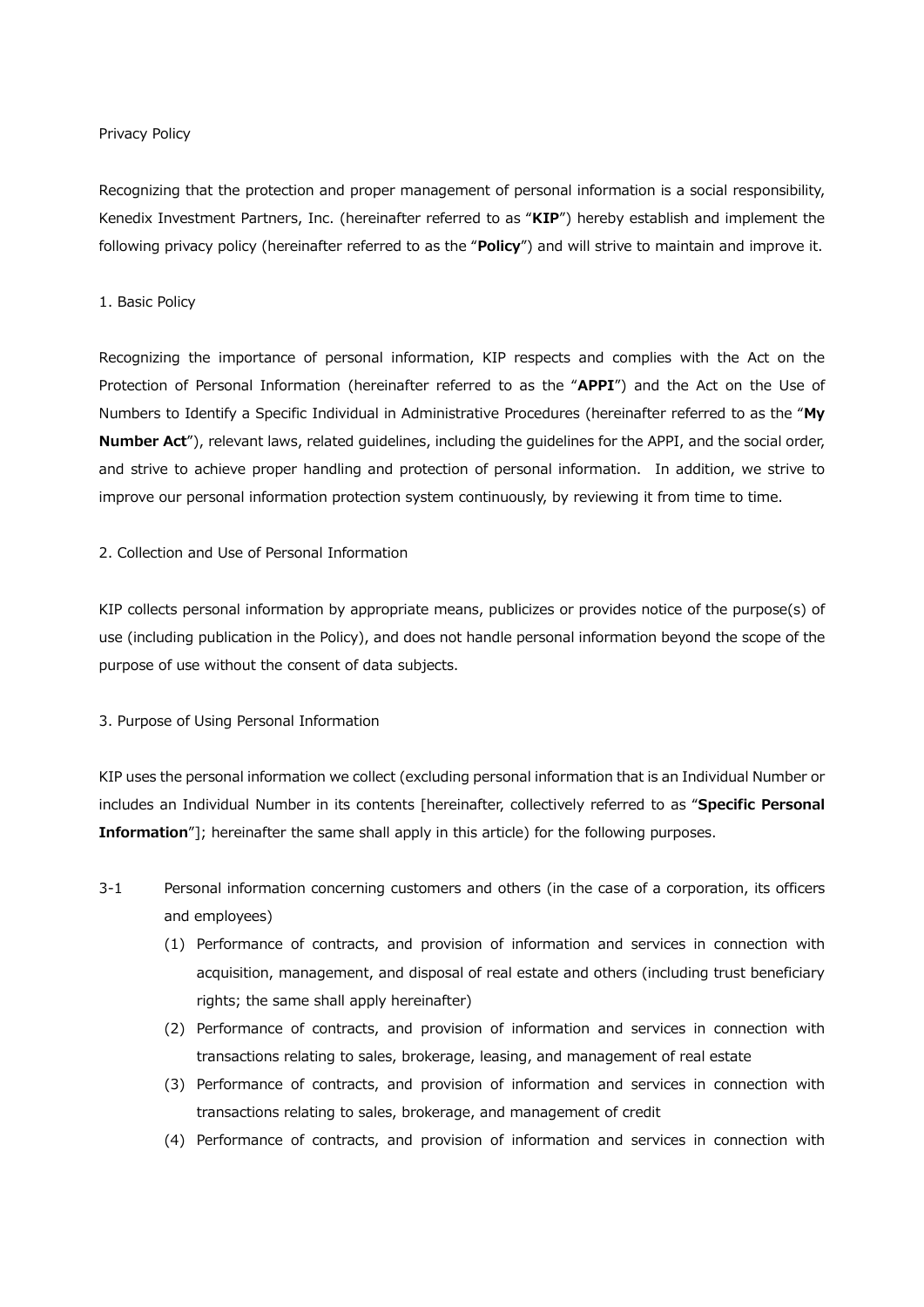#### Privacy Policy

Recognizing that the protection and proper management of personal information is a social responsibility, Kenedix Investment Partners, Inc. (hereinafter referred to as "KIP") hereby establish and implement the following privacy policy (hereinafter referred to as the "Policy") and will strive to maintain and improve it.

## 1. Basic Policy

Recognizing the importance of personal information, KIP respects and complies with the Act on the Protection of Personal Information (hereinafter referred to as the "APPI") and the Act on the Use of Numbers to Identify a Specific Individual in Administrative Procedures (hereinafter referred to as the "My Number Act"), relevant laws, related guidelines, including the guidelines for the APPI, and the social order, and strive to achieve proper handling and protection of personal information. In addition, we strive to improve our personal information protection system continuously, by reviewing it from time to time.

## 2. Collection and Use of Personal Information

KIP collects personal information by appropriate means, publicizes or provides notice of the purpose(s) of use (including publication in the Policy), and does not handle personal information beyond the scope of the purpose of use without the consent of data subjects.

## 3. Purpose of Using Personal Information

KIP uses the personal information we collect (excluding personal information that is an Individual Number or includes an Individual Number in its contents [hereinafter, collectively referred to as "Specific Personal Information"]; hereinafter the same shall apply in this article) for the following purposes.

- 3-1 Personal information concerning customers and others (in the case of a corporation, its officers and employees)
	- (1) Performance of contracts, and provision of information and services in connection with acquisition, management, and disposal of real estate and others (including trust beneficiary rights; the same shall apply hereinafter)
	- (2) Performance of contracts, and provision of information and services in connection with transactions relating to sales, brokerage, leasing, and management of real estate
	- (3) Performance of contracts, and provision of information and services in connection with transactions relating to sales, brokerage, and management of credit
	- (4) Performance of contracts, and provision of information and services in connection with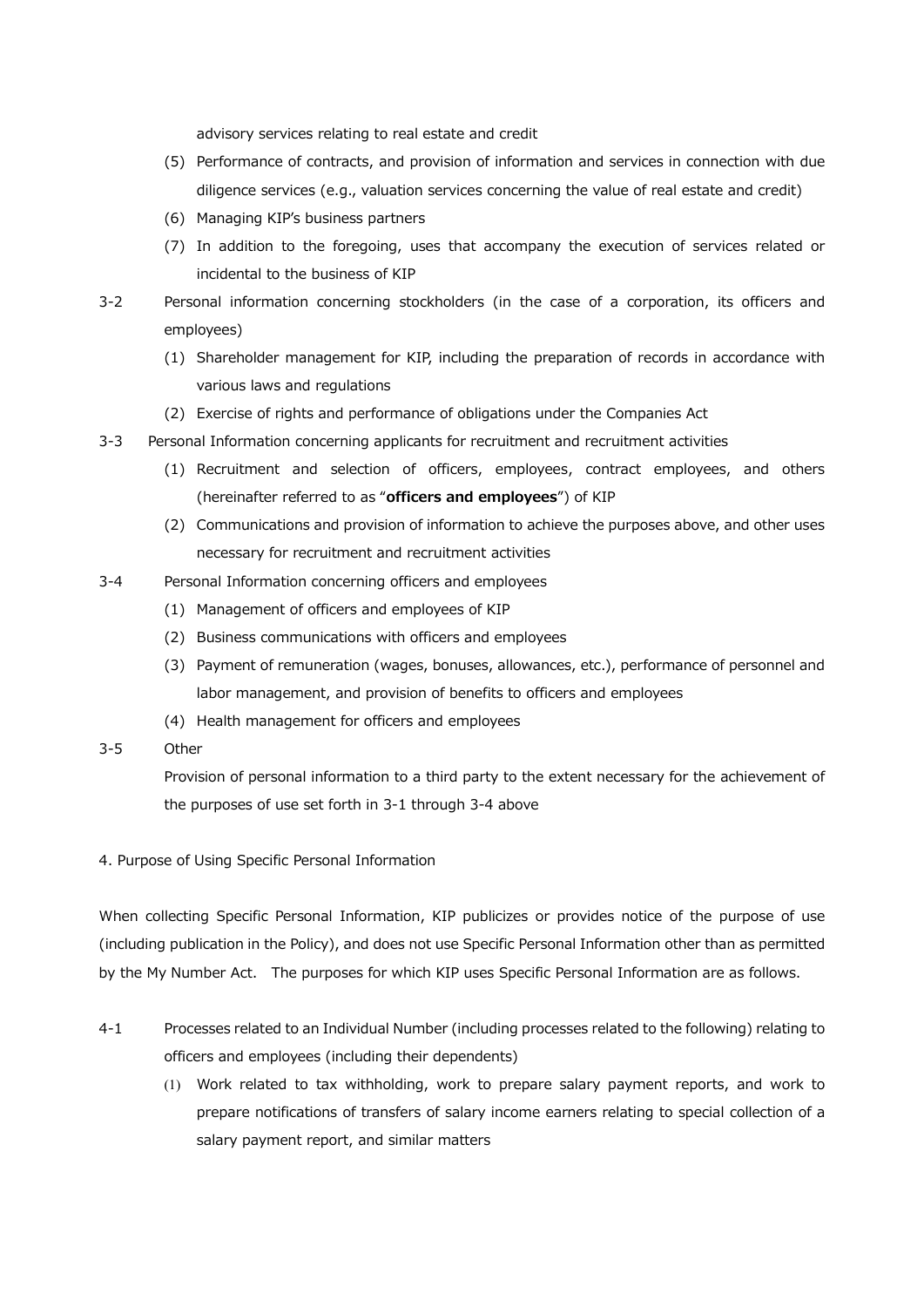advisory services relating to real estate and credit

- (5) Performance of contracts, and provision of information and services in connection with due diligence services (e.g., valuation services concerning the value of real estate and credit)
- (6) Managing KIP's business partners
- (7) In addition to the foregoing, uses that accompany the execution of services related or incidental to the business of KIP
- 3-2 Personal information concerning stockholders (in the case of a corporation, its officers and employees)
	- (1) Shareholder management for KIP, including the preparation of records in accordance with various laws and regulations
	- (2) Exercise of rights and performance of obligations under the Companies Act
- 3-3 Personal Information concerning applicants for recruitment and recruitment activities
	- (1) Recruitment and selection of officers, employees, contract employees, and others (hereinafter referred to as "officers and employees") of KIP
	- (2) Communications and provision of information to achieve the purposes above, and other uses necessary for recruitment and recruitment activities
- 3-4 Personal Information concerning officers and employees
	- (1) Management of officers and employees of KIP
	- (2) Business communications with officers and employees
	- (3) Payment of remuneration (wages, bonuses, allowances, etc.), performance of personnel and labor management, and provision of benefits to officers and employees
	- (4) Health management for officers and employees
- 3-5 Other

Provision of personal information to a third party to the extent necessary for the achievement of the purposes of use set forth in 3-1 through 3-4 above

4. Purpose of Using Specific Personal Information

When collecting Specific Personal Information, KIP publicizes or provides notice of the purpose of use (including publication in the Policy), and does not use Specific Personal Information other than as permitted by the My Number Act. The purposes for which KIP uses Specific Personal Information are as follows.

- 4-1 Processes related to an Individual Number (including processes related to the following) relating to officers and employees (including their dependents)
	- (1) Work related to tax withholding, work to prepare salary payment reports, and work to prepare notifications of transfers of salary income earners relating to special collection of a salary payment report, and similar matters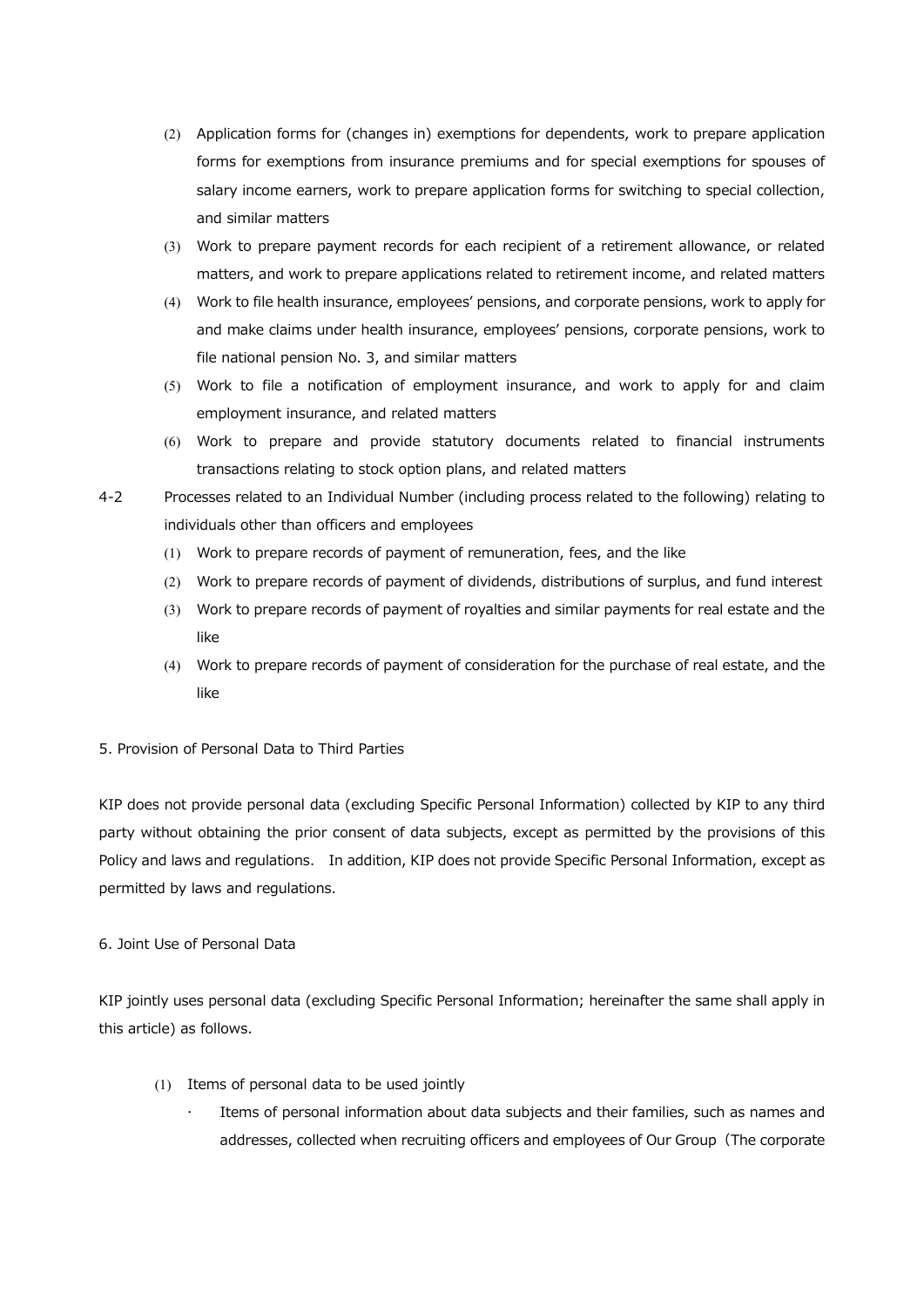- (2) Application forms for (changes in) exemptions for dependents, work to prepare application forms for exemptions from insurance premiums and for special exemptions for spouses of salary income earners, work to prepare application forms for switching to special collection, and similar matters
- (3) Work to prepare payment records for each recipient of a retirement allowance, or related matters, and work to prepare applications related to retirement income, and related matters
- (4) Work to file health insurance, employees' pensions, and corporate pensions, work to apply for and make claims under health insurance, employees' pensions, corporate pensions, work to file national pension No. 3, and similar matters
- (5) Work to file a notification of employment insurance, and work to apply for and claim employment insurance, and related matters
- (6) Work to prepare and provide statutory documents related to financial instruments transactions relating to stock option plans, and related matters
- 4-2 Processes related to an Individual Number (including process related to the following) relating to individuals other than officers and employees
	- (1) Work to prepare records of payment of remuneration, fees, and the like
	- (2) Work to prepare records of payment of dividends, distributions of surplus, and fund interest
	- (3) Work to prepare records of payment of royalties and similar payments for real estate and the like
	- (4) Work to prepare records of payment of consideration for the purchase of real estate, and the like

## 5. Provision of Personal Data to Third Parties

KIP does not provide personal data (excluding Specific Personal Information) collected by KIP to any third party without obtaining the prior consent of data subjects, except as permitted by the provisions of this Policy and laws and regulations. In addition, KIP does not provide Specific Personal Information, except as permitted by laws and regulations.

# 6. Joint Use of Personal Data

KIP jointly uses personal data (excluding Specific Personal Information; hereinafter the same shall apply in this article) as follows.

- (1) Items of personal data to be used jointly
	- Items of personal information about data subjects and their families, such as names and addresses, collected when recruiting officers and employees of Our Group (The corporate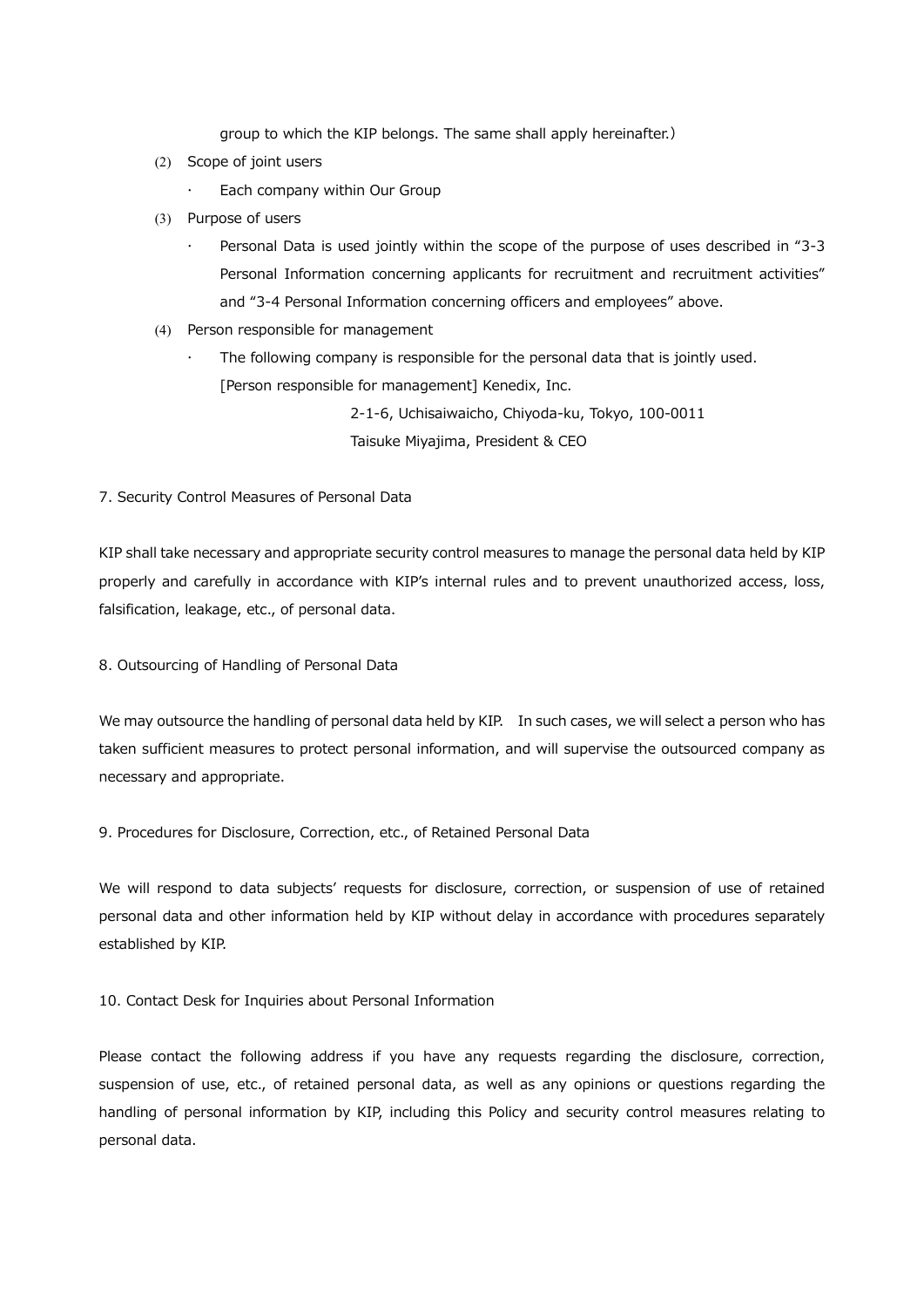group to which the KIP belongs. The same shall apply hereinafter.)

- (2) Scope of joint users
	- Each company within Our Group
- (3) Purpose of users
	- Personal Data is used jointly within the scope of the purpose of uses described in "3-3 Personal Information concerning applicants for recruitment and recruitment activities" and "3-4 Personal Information concerning officers and employees" above.
- (4) Person responsible for management
	- The following company is responsible for the personal data that is jointly used. [Person responsible for management] Kenedix, Inc.

2-1-6, Uchisaiwaicho, Chiyoda-ku, Tokyo, 100-0011 Taisuke Miyajima, President & CEO

7. Security Control Measures of Personal Data

KIP shall take necessary and appropriate security control measures to manage the personal data held by KIP properly and carefully in accordance with KIP's internal rules and to prevent unauthorized access, loss, falsification, leakage, etc., of personal data.

8. Outsourcing of Handling of Personal Data

We may outsource the handling of personal data held by KIP. In such cases, we will select a person who has taken sufficient measures to protect personal information, and will supervise the outsourced company as necessary and appropriate.

9. Procedures for Disclosure, Correction, etc., of Retained Personal Data

We will respond to data subjects' requests for disclosure, correction, or suspension of use of retained personal data and other information held by KIP without delay in accordance with procedures separately established by KIP.

10. Contact Desk for Inquiries about Personal Information

Please contact the following address if you have any requests regarding the disclosure, correction, suspension of use, etc., of retained personal data, as well as any opinions or questions regarding the handling of personal information by KIP, including this Policy and security control measures relating to personal data.